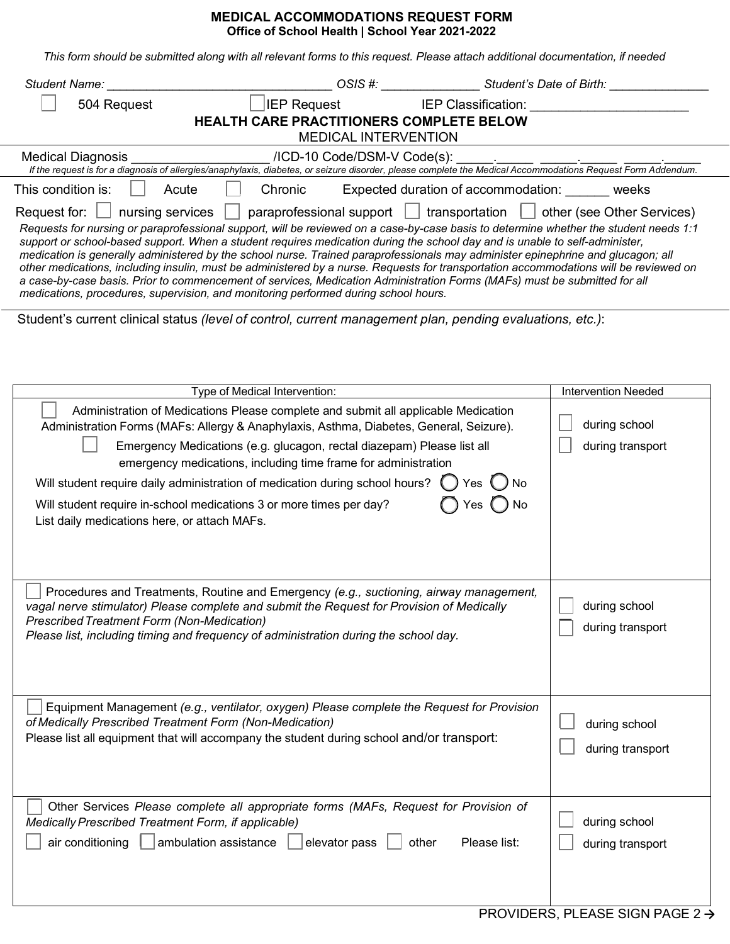## **MEDICAL ACCOMMODATIONS REQUEST FORM Office of School Health | School Year 2021-2022**

This form should be submitted along with all relevant forms to this request. Please attach additional documentation, if needed

| OSIS #: _______________________Student's Date of Birth: ________________________<br>Student Name: _______                                                                                                                                                                                                                                                                                                                                                                                                                                                                                                                                                                                                                                                                                                                                                                                     |                                          |  |  |  |
|-----------------------------------------------------------------------------------------------------------------------------------------------------------------------------------------------------------------------------------------------------------------------------------------------------------------------------------------------------------------------------------------------------------------------------------------------------------------------------------------------------------------------------------------------------------------------------------------------------------------------------------------------------------------------------------------------------------------------------------------------------------------------------------------------------------------------------------------------------------------------------------------------|------------------------------------------|--|--|--|
| <b>IEP Request</b><br><b>IEP Classification: EXECUTE: EXECUTE: EXECUTE: EXECUTE:</b><br>504 Request                                                                                                                                                                                                                                                                                                                                                                                                                                                                                                                                                                                                                                                                                                                                                                                           |                                          |  |  |  |
| HEALTH CARE PRACTITIONERS COMPLETE BELOW<br><b>MEDICAL INTERVENTION</b>                                                                                                                                                                                                                                                                                                                                                                                                                                                                                                                                                                                                                                                                                                                                                                                                                       |                                          |  |  |  |
| <b>Medical Diagnosis</b>                                                                                                                                                                                                                                                                                                                                                                                                                                                                                                                                                                                                                                                                                                                                                                                                                                                                      |                                          |  |  |  |
|                                                                                                                                                                                                                                                                                                                                                                                                                                                                                                                                                                                                                                                                                                                                                                                                                                                                                               |                                          |  |  |  |
| Expected duration of accommodation: weeks<br>This condition is:<br>Acute<br>Chronic                                                                                                                                                                                                                                                                                                                                                                                                                                                                                                                                                                                                                                                                                                                                                                                                           |                                          |  |  |  |
| Request for:<br>paraprofessional support $\Box$ transportation $\Box$ other (see Other Services)<br>nursing services<br>Requests for nursing or paraprofessional support, will be reviewed on a case-by-case basis to determine whether the student needs 1:1<br>support or school-based support. When a student requires medication during the school day and is unable to self-administer,<br>medication is generally administered by the school nurse. Trained paraprofessionals may administer epinephrine and glucagon; all<br>other medications, including insulin, must be administered by a nurse. Requests for transportation accommodations will be reviewed on<br>a case-by-case basis. Prior to commencement of services, Medication Administration Forms (MAFs) must be submitted for all<br>medications, procedures, supervision, and monitoring performed during school hours. |                                          |  |  |  |
| Student's current clinical status (level of control, current management plan, pending evaluations, etc.):                                                                                                                                                                                                                                                                                                                                                                                                                                                                                                                                                                                                                                                                                                                                                                                     |                                          |  |  |  |
|                                                                                                                                                                                                                                                                                                                                                                                                                                                                                                                                                                                                                                                                                                                                                                                                                                                                                               |                                          |  |  |  |
| Type of Medical Intervention:                                                                                                                                                                                                                                                                                                                                                                                                                                                                                                                                                                                                                                                                                                                                                                                                                                                                 | <b>Intervention Needed</b>               |  |  |  |
| Administration of Medications Please complete and submit all applicable Medication<br>Administration Forms (MAFs: Allergy & Anaphylaxis, Asthma, Diabetes, General, Seizure).<br>Emergency Medications (e.g. glucagon, rectal diazepam) Please list all<br>emergency medications, including time frame for administration                                                                                                                                                                                                                                                                                                                                                                                                                                                                                                                                                                     | during school<br>during transport        |  |  |  |
| Will student require daily administration of medication during school hours? () Yes () No<br>Yes () No<br>Will student require in-school medications 3 or more times per day?<br>List daily medications here, or attach MAFs.                                                                                                                                                                                                                                                                                                                                                                                                                                                                                                                                                                                                                                                                 |                                          |  |  |  |
| Procedures and Treatments, Routine and Emergency (e.g., suctioning, airway management,<br>vagal nerve stimulator) Please complete and submit the Request for Provision of Medically<br><b>Prescribed Treatment Form (Non-Medication)</b><br>Please list, including timing and frequency of administration during the school day.                                                                                                                                                                                                                                                                                                                                                                                                                                                                                                                                                              | ┌─┐<br>during school<br>during transport |  |  |  |
| Equipment Management (e.g., ventilator, oxygen) Please complete the Request for Provision<br>of Medically Prescribed Treatment Form (Non-Medication)<br>Please list all equipment that will accompany the student during school and/or transport:                                                                                                                                                                                                                                                                                                                                                                                                                                                                                                                                                                                                                                             | during school<br>during transport        |  |  |  |
| Other Services Please complete all appropriate forms (MAFs, Request for Provision of<br>Medically Prescribed Treatment Form, if applicable)<br>air conditioning<br>ambulation assistance  <br>elevator pass<br>Please list:<br>other                                                                                                                                                                                                                                                                                                                                                                                                                                                                                                                                                                                                                                                          | during school<br>during transport        |  |  |  |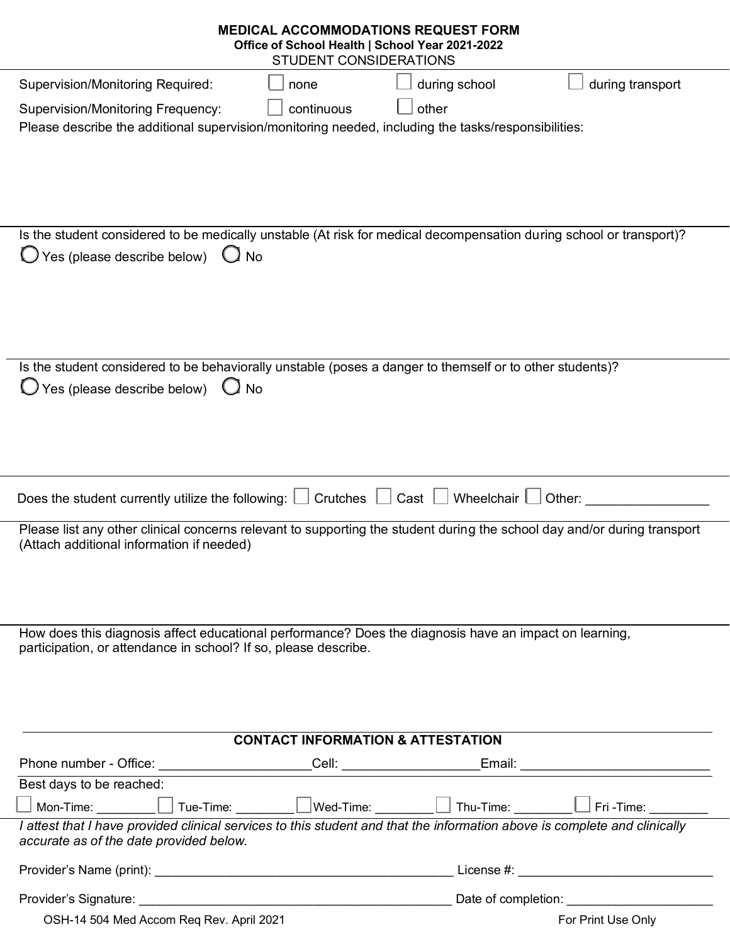| <b>MEDICAL ACCOMMODATIONS REQUEST FORM</b><br>Office of School Health   School Year 2021-2022<br><b>STUDENT CONSIDERATIONS</b>                                            |                                       |  |
|---------------------------------------------------------------------------------------------------------------------------------------------------------------------------|---------------------------------------|--|
| <b>Supervision/Monitoring Required:</b><br>none                                                                                                                           | during school<br>during transport     |  |
| continuous<br><b>Supervision/Monitoring Frequency:</b><br>Please describe the additional supervision/monitoring needed, including the tasks/responsibilities:             | other                                 |  |
| Is the student considered to be medically unstable (At risk for medical decompensation during school or transport)?                                                       |                                       |  |
| Yes (please describe below)<br><b>No</b>                                                                                                                                  |                                       |  |
| Is the student considered to be behaviorally unstable (poses a danger to themself or to other students)?<br>$\theta$ Yes (please describe below)<br><b>No</b>             |                                       |  |
| Crutches<br>Does the student currently utilize the following:                                                                                                             | Cast $\Box$<br>Wheelchair  <br>Other: |  |
| Please list any other clinical concerns relevant to supporting the student during the school day and/or during transport<br>(Attach additional information if needed)     |                                       |  |
| How does this diagnosis affect educational performance? Does the diagnosis have an impact on learning,<br>participation, or attendance in school? If so, please describe. |                                       |  |
| <b>CONTACT INFORMATION &amp; ATTESTATION</b>                                                                                                                              |                                       |  |
|                                                                                                                                                                           |                                       |  |
| Best days to be reached:                                                                                                                                                  |                                       |  |
| Mon-Time: $\Box$ Tue-Time: $\Box$ Wed-Time: $\Box$ Thu-Time: $\Box$ Fri -Time: $\Box$                                                                                     |                                       |  |
| I attest that I have provided clinical services to this student and that the information above is complete and clinically<br>accurate as of the date provided below.      |                                       |  |
|                                                                                                                                                                           |                                       |  |
|                                                                                                                                                                           |                                       |  |
| OSH-14 504 Med Accom Req Rev. April 2021                                                                                                                                  | For Print Use Only                    |  |